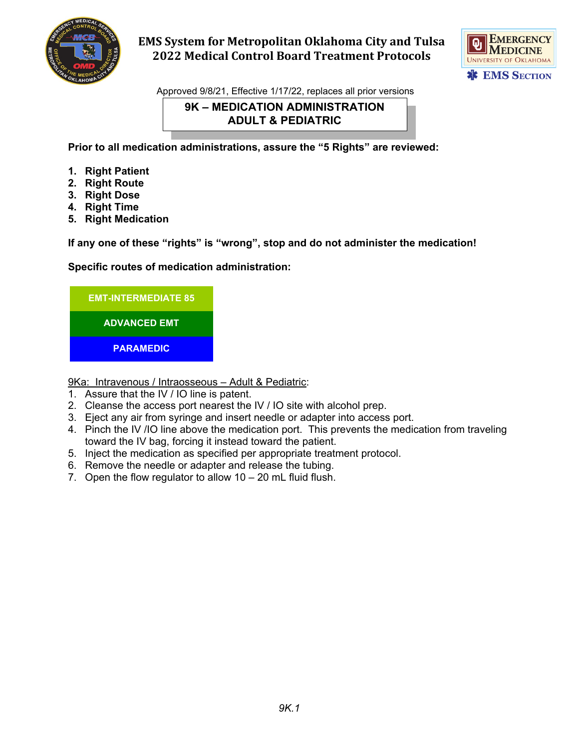

# **EMS System for Metropolitan Oklahoma City and Tulsa 2022 Medical Control Board Treatment Protocols**



Approved 9/8/21, Effective 1/17/22, replaces all prior versions

### **9K – MEDICATION ADMINISTRATION ADULT & PEDIATRIC**

**Prior to all medication administrations, assure the "5 Rights" are reviewed:**

- **1. Right Patient**
- **2. Right Route**
- **3. Right Dose**
- **4. Right Time**
- **5. Right Medication**

**If any one of these "rights" is "wrong", stop and do not administer the medication!**

### **Specific routes of medication administration:**



9Ka: Intravenous / Intraosseous - Adult & Pediatric:

- 1. Assure that the IV / IO line is patent.
- 2. Cleanse the access port nearest the IV / IO site with alcohol prep.
- 3. Eject any air from syringe and insert needle or adapter into access port.
- 4. Pinch the IV /IO line above the medication port. This prevents the medication from traveling toward the IV bag, forcing it instead toward the patient.
- 5. Inject the medication as specified per appropriate treatment protocol.
- 6. Remove the needle or adapter and release the tubing.
- 7. Open the flow regulator to allow 10 20 mL fluid flush.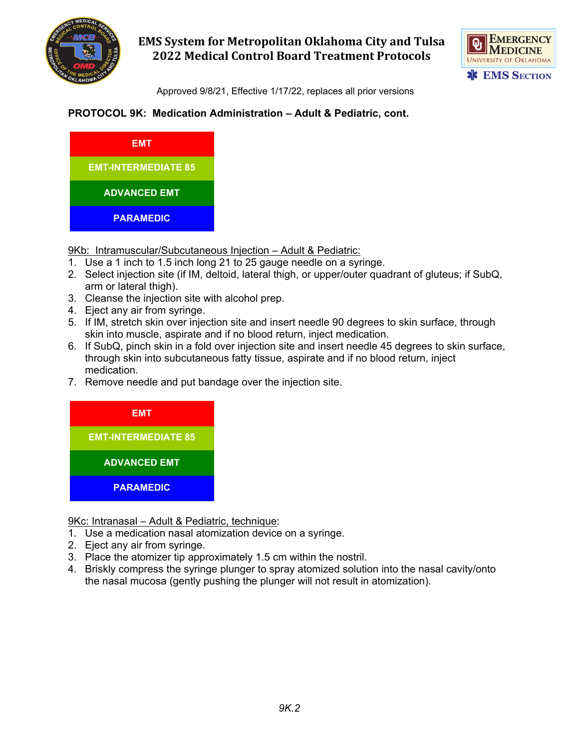

# **EMS System for Metropolitan Oklahoma City and Tulsa 2022 Medical Control Board Treatment Protocols**



Approved 9/8/21, Effective 1/17/22, replaces all prior versions

## **PROTOCOL 9K: Medication Administration – Adult & Pediatric, cont.**



9Kb: Intramuscular/Subcutaneous Injection – Adult & Pediatric:

- 1. Use a 1 inch to 1.5 inch long 21 to 25 gauge needle on a syringe.
- 2. Select injection site (if IM, deltoid, lateral thigh, or upper/outer quadrant of gluteus; if SubQ, arm or lateral thigh).
- 3. Cleanse the injection site with alcohol prep.
- 4. Eject any air from syringe.
- 5. If IM, stretch skin over injection site and insert needle 90 degrees to skin surface, through skin into muscle, aspirate and if no blood return, inject medication.
- 6. If SubQ, pinch skin in a fold over injection site and insert needle 45 degrees to skin surface, through skin into subcutaneous fatty tissue, aspirate and if no blood return, inject medication.
- 7. Remove needle and put bandage over the injection site.



9Kc: Intranasal - Adult & Pediatric, technique:

- 1. Use a medication nasal atomization device on a syringe.
- 2. Eject any air from syringe.
- 3. Place the atomizer tip approximately 1.5 cm within the nostril.
- 4. Briskly compress the syringe plunger to spray atomized solution into the nasal cavity/onto the nasal mucosa (gently pushing the plunger will not result in atomization).